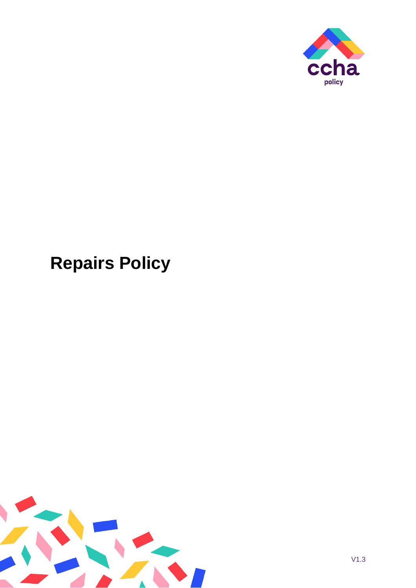

# **Repairs Policy**

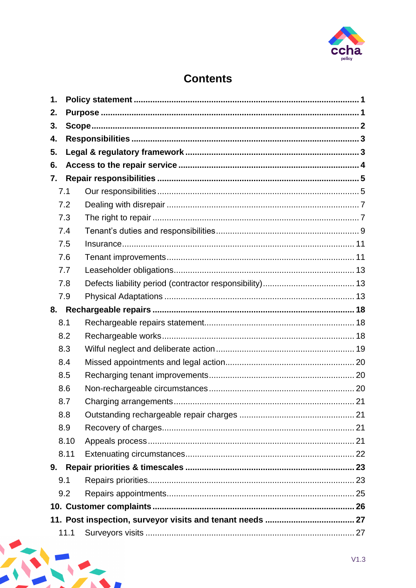

# **Contents**

<span id="page-1-0"></span>

| 1. |      |  |  |  |
|----|------|--|--|--|
| 2. |      |  |  |  |
| 3. |      |  |  |  |
| 4. |      |  |  |  |
| 5. |      |  |  |  |
| 6. |      |  |  |  |
| 7. |      |  |  |  |
|    | 7.1  |  |  |  |
|    | 7.2  |  |  |  |
|    | 7.3  |  |  |  |
|    | 7.4  |  |  |  |
|    | 7.5  |  |  |  |
|    | 7.6  |  |  |  |
|    | 7.7  |  |  |  |
|    | 7.8  |  |  |  |
|    | 7.9  |  |  |  |
| 8. |      |  |  |  |
|    | 8.1  |  |  |  |
|    | 8.2  |  |  |  |
|    | 8.3  |  |  |  |
|    | 8.4  |  |  |  |
|    | 8.5  |  |  |  |
|    | 8.6  |  |  |  |
|    | 8.7  |  |  |  |
|    | 8.8  |  |  |  |
|    | 8.9  |  |  |  |
|    | 8.10 |  |  |  |
|    | 8.11 |  |  |  |
|    |      |  |  |  |
|    | 9.1  |  |  |  |
|    | 9.2  |  |  |  |
|    |      |  |  |  |
|    |      |  |  |  |
|    | 11.1 |  |  |  |

 $\blacksquare$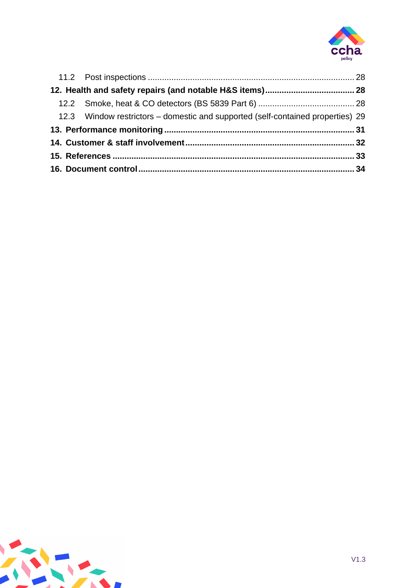

|  | 12.3 Window restrictors – domestic and supported (self-contained properties) 29 |  |
|--|---------------------------------------------------------------------------------|--|
|  |                                                                                 |  |
|  |                                                                                 |  |
|  |                                                                                 |  |
|  |                                                                                 |  |

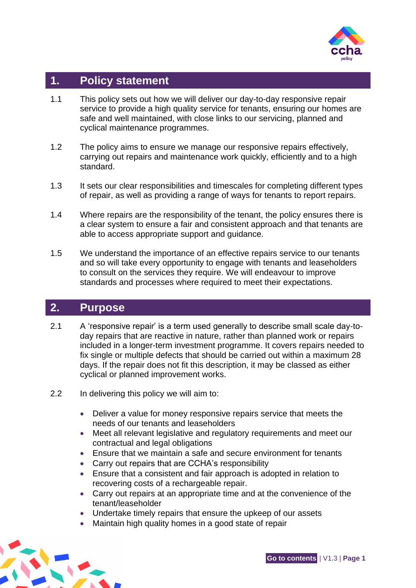

# <span id="page-3-0"></span>**1. Policy statement**

- 1.1 This policy sets out how we will deliver our day-to-day responsive repair service to provide a high quality service for tenants, ensuring our homes are safe and well maintained, with close links to our servicing, planned and cyclical maintenance programmes.
- 1.2 The policy aims to ensure we manage our responsive repairs effectively, carrying out repairs and maintenance work quickly, efficiently and to a high standard.
- 1.3 It sets our clear responsibilities and timescales for completing different types of repair, as well as providing a range of ways for tenants to report repairs.
- 1.4 Where repairs are the responsibility of the tenant, the policy ensures there is a clear system to ensure a fair and consistent approach and that tenants are able to access appropriate support and guidance.
- 1.5 We understand the importance of an effective repairs service to our tenants and so will take every opportunity to engage with tenants and leaseholders to consult on the services they require. We will endeavour to improve standards and processes where required to meet their expectations.

# <span id="page-3-1"></span>**2. Purpose**

- 2.1 A 'responsive repair' is a term used generally to describe small scale day-today repairs that are reactive in nature, rather than planned work or repairs included in a longer-term investment programme. It covers repairs needed to fix single or multiple defects that should be carried out within a maximum 28 days. If the repair does not fit this description, it may be classed as either cyclical or planned improvement works.
- 2.2 In delivering this policy we will aim to:
	- Deliver a value for money responsive repairs service that meets the needs of our tenants and leaseholders
	- Meet all relevant legislative and regulatory requirements and meet our contractual and legal obligations
	- Ensure that we maintain a safe and secure environment for tenants
	- Carry out repairs that are CCHA's responsibility
	- Ensure that a consistent and fair approach is adopted in relation to recovering costs of a rechargeable repair.
	- Carry out repairs at an appropriate time and at the convenience of the tenant/leaseholder
	- Undertake timely repairs that ensure the upkeep of our assets
	- Maintain high quality homes in a good state of repair

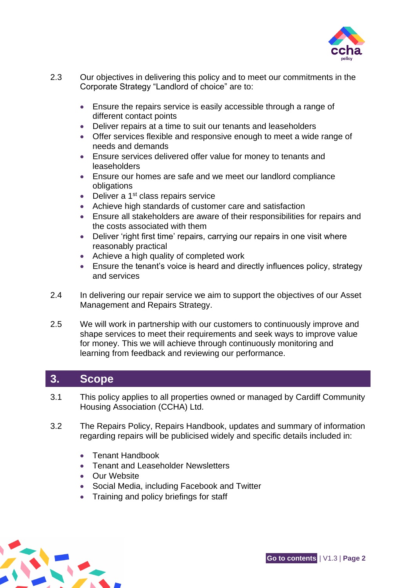

- 2.3 Our objectives in delivering this policy and to meet our commitments in the Corporate Strategy "Landlord of choice" are to:
	- Ensure the repairs service is easily accessible through a range of different contact points
	- Deliver repairs at a time to suit our tenants and leaseholders
	- Offer services flexible and responsive enough to meet a wide range of needs and demands
	- Ensure services delivered offer value for money to tenants and leaseholders
	- Ensure our homes are safe and we meet our landlord compliance obligations
	- Deliver a  $1<sup>st</sup>$  class repairs service
	- Achieve high standards of customer care and satisfaction
	- Ensure all stakeholders are aware of their responsibilities for repairs and the costs associated with them
	- Deliver 'right first time' repairs, carrying our repairs in one visit where reasonably practical
	- Achieve a high quality of completed work
	- Ensure the tenant's voice is heard and directly influences policy, strategy and services
- 2.4 In delivering our repair service we aim to support the objectives of our Asset Management and Repairs Strategy.
- 2.5 We will work in partnership with our customers to continuously improve and shape services to meet their requirements and seek ways to improve value for money. This we will achieve through continuously monitoring and learning from feedback and reviewing our performance.

# <span id="page-4-0"></span>**3. Scope**

- 3.1 This policy applies to all properties owned or managed by Cardiff Community Housing Association (CCHA) Ltd.
- 3.2 The Repairs Policy, Repairs Handbook, updates and summary of information regarding repairs will be publicised widely and specific details included in:
	- Tenant Handbook
	- Tenant and Leaseholder Newsletters
	- **Our Website**
	- Social Media, including Facebook and Twitter
	- Training and policy briefings for staff

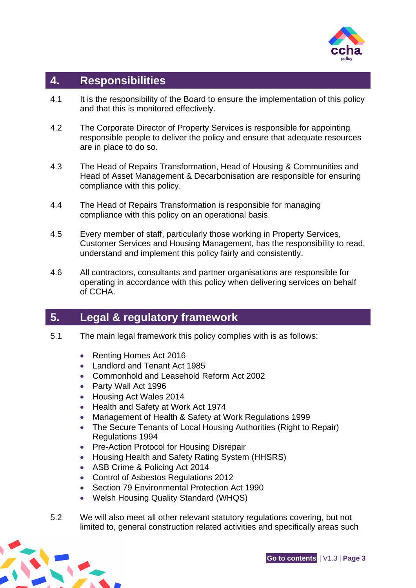

# <span id="page-5-0"></span>**4. Responsibilities**

- 4.1 It is the responsibility of the Board to ensure the implementation of this policy and that this is monitored effectively.
- 4.2 The Corporate Director of Property Services is responsible for appointing responsible people to deliver the policy and ensure that adequate resources are in place to do so.
- 4.3 The Head of Repairs Transformation, Head of Housing & Communities and Head of Asset Management & Decarbonisation are responsible for ensuring compliance with this policy.
- 4.4 The Head of Repairs Transformation is responsible for managing compliance with this policy on an operational basis.
- 4.5 Every member of staff, particularly those working in Property Services, Customer Services and Housing Management, has the responsibility to read, understand and implement this policy fairly and consistently.
- 4.6 All contractors, consultants and partner organisations are responsible for operating in accordance with this policy when delivering services on behalf of CCHA.

# <span id="page-5-1"></span>**5. Legal & regulatory framework**

- 5.1 The main legal framework this policy complies with is as follows:
	- Renting Homes Act 2016
	- Landlord and Tenant Act 1985
	- Commonhold and Leasehold Reform Act 2002
	- Party Wall Act 1996
	- Housing Act Wales 2014
	- Health and Safety at Work Act 1974
	- Management of Health & Safety at Work Regulations 1999
	- The Secure Tenants of Local Housing Authorities (Right to Repair) Regulations 1994
	- Pre-Action Protocol for Housing Disrepair
	- Housing Health and Safety Rating System (HHSRS)
	- ASB Crime & Policing Act 2014
	- Control of Asbestos Regulations 2012
	- Section 79 Environmental Protection Act 1990
	- Welsh Housing Quality Standard (WHQS)
- 5.2 We will also meet all other relevant statutory regulations covering, but not limited to, general construction related activities and specifically areas such



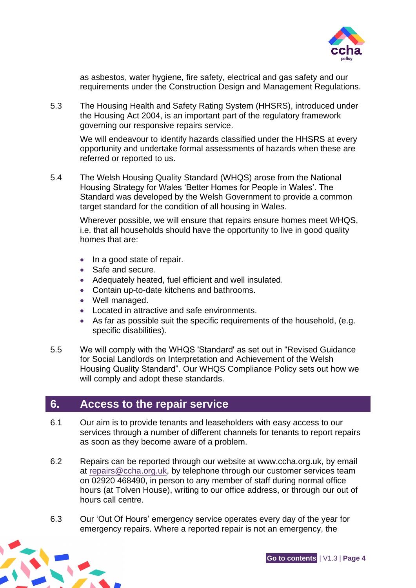

as asbestos, water hygiene, fire safety, electrical and gas safety and our requirements under the Construction Design and Management Regulations.

5.3 The Housing Health and Safety Rating System (HHSRS), introduced under the Housing Act 2004, is an important part of the regulatory framework governing our responsive repairs service.

We will endeavour to identify hazards classified under the HHSRS at every opportunity and undertake formal assessments of hazards when these are referred or reported to us.

5.4 The Welsh Housing Quality Standard (WHQS) arose from the National Housing Strategy for Wales 'Better Homes for People in Wales'. The Standard was developed by the Welsh Government to provide a common target standard for the condition of all housing in Wales.

Wherever possible, we will ensure that repairs ensure homes meet WHQS, i.e. that all households should have the opportunity to live in good quality homes that are:

- In a good state of repair.
- Safe and secure.
- Adequately heated, fuel efficient and well insulated.
- Contain up-to-date kitchens and bathrooms.
- Well managed.
- Located in attractive and safe environments.
- As far as possible suit the specific requirements of the household, (e.g. specific disabilities).
- 5.5 We will comply with the WHQS 'Standard' as set out in ["Revised Guidance](http://gov.wales/docs/desh/publications/141030-whqs-guide-for-social-landlords-en.pdf)  [for Social Landlords on Interpretation and Achievement of the Welsh](http://gov.wales/docs/desh/publications/141030-whqs-guide-for-social-landlords-en.pdf)  Housing Quality Standard". [Our WHQS Compliance Policy sets out](http://gov.wales/docs/desh/publications/141030-whqs-guide-for-social-landlords-en.pdf) how we [will comply and adopt these standards.](http://gov.wales/docs/desh/publications/141030-whqs-guide-for-social-landlords-en.pdf)

# <span id="page-6-0"></span>**6. Access to the repair service**

- 6.1 Our aim is to provide tenants and leaseholders with easy access to our services through a number of different channels for tenants to report repairs as soon as they become aware of a problem.
- 6.2 Repairs can be reported through our website at www.ccha.org.uk, by email at [repairs@ccha.org.uk,](mailto:repairs@ccha.org.uk) by telephone through our customer services team on 02920 468490, in person to any member of staff during normal office hours (at Tolven House), writing to our office address, or through our out of hours call centre.
- 6.3 Our 'Out Of Hours' emergency service operates every day of the year for emergency repairs. Where a reported repair is not an emergency, the

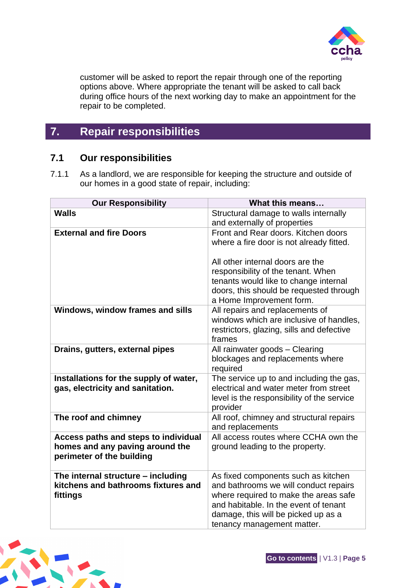

customer will be asked to report the repair through one of the reporting options above. Where appropriate the tenant will be asked to call back during office hours of the next working day to make an appointment for the repair to be completed.

# <span id="page-7-0"></span>**7. Repair responsibilities**

## <span id="page-7-1"></span>**7.1 Our responsibilities**

7.1.1 As a landlord, we are responsible for keeping the structure and outside of our homes in a good state of repair, including:

| <b>Our Responsibility</b>                                                                            | What this means                                                                                                                                                                                                                     |
|------------------------------------------------------------------------------------------------------|-------------------------------------------------------------------------------------------------------------------------------------------------------------------------------------------------------------------------------------|
| <b>Walls</b>                                                                                         | Structural damage to walls internally<br>and externally of properties                                                                                                                                                               |
| <b>External and fire Doors</b>                                                                       | Front and Rear doors. Kitchen doors<br>where a fire door is not already fitted.                                                                                                                                                     |
|                                                                                                      | All other internal doors are the<br>responsibility of the tenant. When<br>tenants would like to change internal<br>doors, this should be requested through<br>a Home Improvement form.                                              |
| Windows, window frames and sills                                                                     | All repairs and replacements of<br>windows which are inclusive of handles,<br>restrictors, glazing, sills and defective<br>frames                                                                                                   |
| Drains, gutters, external pipes                                                                      | All rainwater goods - Clearing<br>blockages and replacements where<br>required                                                                                                                                                      |
| Installations for the supply of water,<br>gas, electricity and sanitation.                           | The service up to and including the gas,<br>electrical and water meter from street<br>level is the responsibility of the service<br>provider                                                                                        |
| The roof and chimney                                                                                 | All roof, chimney and structural repairs<br>and replacements                                                                                                                                                                        |
| Access paths and steps to individual<br>homes and any paving around the<br>perimeter of the building | All access routes where CCHA own the<br>ground leading to the property.                                                                                                                                                             |
| The internal structure - including<br>kitchens and bathrooms fixtures and<br>fittings                | As fixed components such as kitchen<br>and bathrooms we will conduct repairs<br>where required to make the areas safe<br>and habitable. In the event of tenant<br>damage, this will be picked up as a<br>tenancy management matter. |

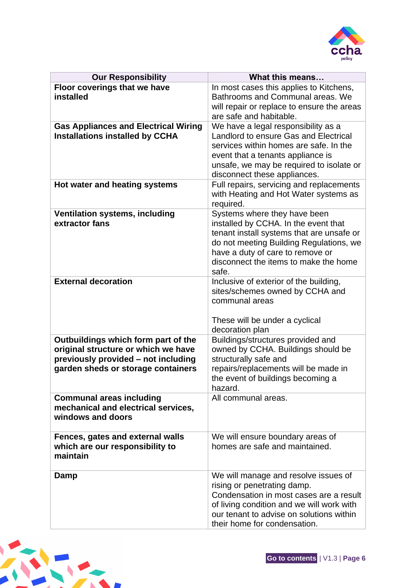

| <b>Our Responsibility</b>                                                                                                                               | What this means                                                                                                                                                                                                                                    |
|---------------------------------------------------------------------------------------------------------------------------------------------------------|----------------------------------------------------------------------------------------------------------------------------------------------------------------------------------------------------------------------------------------------------|
| Floor coverings that we have<br>installed                                                                                                               | In most cases this applies to Kitchens,<br>Bathrooms and Communal areas. We<br>will repair or replace to ensure the areas<br>are safe and habitable.                                                                                               |
| <b>Gas Appliances and Electrical Wiring</b><br><b>Installations installed by CCHA</b>                                                                   | We have a legal responsibility as a<br>Landlord to ensure Gas and Electrical<br>services within homes are safe. In the<br>event that a tenants appliance is<br>unsafe, we may be required to isolate or<br>disconnect these appliances.            |
| Hot water and heating systems                                                                                                                           | Full repairs, servicing and replacements<br>with Heating and Hot Water systems as<br>required.                                                                                                                                                     |
| <b>Ventilation systems, including</b><br>extractor fans                                                                                                 | Systems where they have been<br>installed by CCHA. In the event that<br>tenant install systems that are unsafe or<br>do not meeting Building Regulations, we<br>have a duty of care to remove or<br>disconnect the items to make the home<br>safe. |
| <b>External decoration</b>                                                                                                                              | Inclusive of exterior of the building,<br>sites/schemes owned by CCHA and<br>communal areas<br>These will be under a cyclical<br>decoration plan                                                                                                   |
| Outbuildings which form part of the<br>original structure or which we have<br>previously provided - not including<br>garden sheds or storage containers | Buildings/structures provided and<br>owned by CCHA. Buildings should be<br>structurally safe and<br>repairs/replacements will be made in<br>the event of buildings becoming a<br>hazard.                                                           |
| <b>Communal areas including</b><br>mechanical and electrical services,<br>windows and doors                                                             | All communal areas.                                                                                                                                                                                                                                |
| Fences, gates and external walls<br>which are our responsibility to<br>maintain                                                                         | We will ensure boundary areas of<br>homes are safe and maintained.                                                                                                                                                                                 |
| Damp                                                                                                                                                    | We will manage and resolve issues of<br>rising or penetrating damp.<br>Condensation in most cases are a result<br>of living condition and we will work with<br>our tenant to advise on solutions within<br>their home for condensation.            |

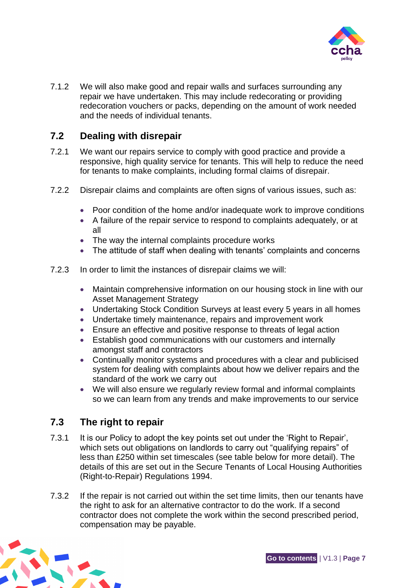

7.1.2 We will also make good and repair walls and surfaces surrounding any repair we have undertaken. This may include redecorating or providing redecoration vouchers or packs, depending on the amount of work needed and the needs of individual tenants.

## <span id="page-9-0"></span>**7.2 Dealing with disrepair**

- 7.2.1 We want our repairs service to comply with good practice and provide a responsive, high quality service for tenants. This will help to reduce the need for tenants to make complaints, including formal claims of disrepair.
- 7.2.2 Disrepair claims and complaints are often signs of various issues, such as:
	- Poor condition of the home and/or inadequate work to improve conditions
	- A failure of the repair service to respond to complaints adequately, or at all
	- The way the internal complaints procedure works
	- The attitude of staff when dealing with tenants' complaints and concerns
- 7.2.3 In order to limit the instances of disrepair claims we will:
	- Maintain comprehensive information on our housing stock in line with our Asset Management Strategy
	- Undertaking Stock Condition Surveys at least every 5 years in all homes
	- Undertake timely maintenance, repairs and improvement work
	- Ensure an effective and positive response to threats of legal action
	- Establish good communications with our customers and internally amongst staff and contractors
	- Continually monitor systems and procedures with a clear and publicised system for dealing with complaints about how we deliver repairs and the standard of the work we carry out
	- We will also ensure we regularly review formal and informal complaints so we can learn from any trends and make improvements to our service

## <span id="page-9-1"></span>**7.3 The right to repair**

- 7.3.1 It is our Policy to adopt the key points set out under the 'Right to Repair', which sets out obligations on landlords to carry out "qualifying repairs" of less than £250 within set timescales (see table below for more detail). The details of this are set out in the Secure Tenants of Local Housing Authorities (Right-to-Repair) Regulations 1994.
- 7.3.2 If the repair is not carried out within the set time limits, then our tenants have the right to ask for an alternative contractor to do the work. If a second contractor does not complete the work within the second prescribed period, compensation may be payable.

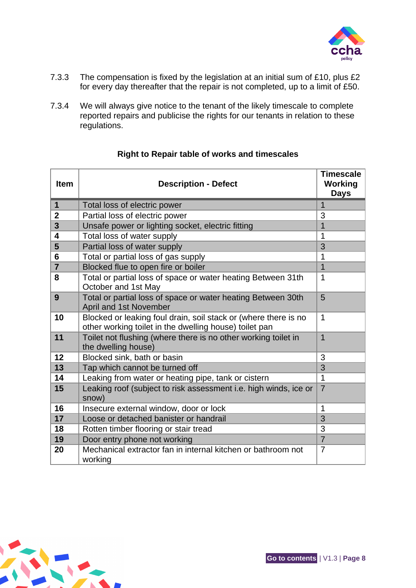

- 7.3.3 The compensation is fixed by the legislation at an initial sum of £10, plus £2 for every day thereafter that the repair is not completed, up to a limit of £50.
- 7.3.4 We will always give notice to the tenant of the likely timescale to complete reported repairs and publicise the rights for our tenants in relation to these regulations.

| <b>Item</b>     | <b>Description - Defect</b>                                                                                               | <b>Timescale</b><br><b>Working</b><br><b>Days</b> |
|-----------------|---------------------------------------------------------------------------------------------------------------------------|---------------------------------------------------|
| $\mathbf{1}$    | Total loss of electric power                                                                                              | 1                                                 |
| $\overline{2}$  | Partial loss of electric power                                                                                            | 3                                                 |
| 3               | Unsafe power or lighting socket, electric fitting                                                                         | $\overline{1}$                                    |
| 4               | Total loss of water supply                                                                                                | 1                                                 |
| 5               | Partial loss of water supply                                                                                              | 3                                                 |
| $6\phantom{1}6$ | Total or partial loss of gas supply                                                                                       | $\mathbf 1$                                       |
| $\overline{7}$  | Blocked flue to open fire or boiler                                                                                       | $\overline{1}$                                    |
| 8               | Total or partial loss of space or water heating Between 31th<br>October and 1st May                                       | $\mathbf 1$                                       |
| 9               | Total or partial loss of space or water heating Between 30th<br>April and 1st November                                    | 5                                                 |
| 10              | Blocked or leaking foul drain, soil stack or (where there is no<br>other working toilet in the dwelling house) toilet pan | $\mathbf 1$                                       |
| 11              | Toilet not flushing (where there is no other working toilet in<br>the dwelling house)                                     | $\mathbf{1}$                                      |
| 12              | Blocked sink, bath or basin                                                                                               | 3                                                 |
| 13              | Tap which cannot be turned off                                                                                            | 3                                                 |
| 14              | Leaking from water or heating pipe, tank or cistern                                                                       | $\mathbf{1}$                                      |
| 15              | Leaking roof (subject to risk assessment i.e. high winds, ice or<br>snow)                                                 | $\overline{7}$                                    |
| 16              | Insecure external window, door or lock                                                                                    | $\mathbf{1}$                                      |
| 17              | Loose or detached banister or handrail                                                                                    | 3                                                 |
| 18              | Rotten timber flooring or stair tread                                                                                     | 3                                                 |
| 19              | Door entry phone not working                                                                                              | $\overline{7}$                                    |
| 20              | Mechanical extractor fan in internal kitchen or bathroom not<br>working                                                   | $\overline{7}$                                    |

#### **Right to Repair table of works and timescales**

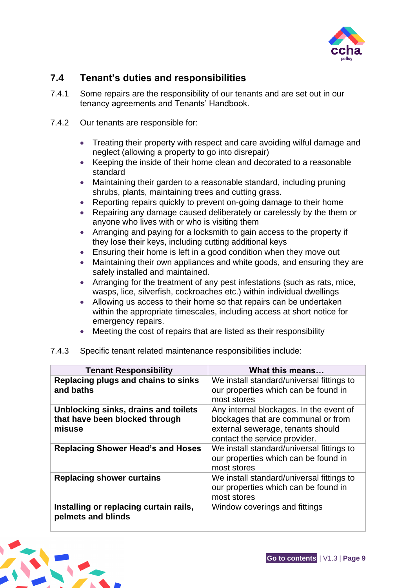

# <span id="page-11-0"></span>**7.4 Tenant's duties and responsibilities**

- 7.4.1 Some repairs are the responsibility of our tenants and are set out in our tenancy agreements and Tenants' Handbook.
- 7.4.2 Our tenants are responsible for:
	- Treating their property with respect and care avoiding wilful damage and neglect (allowing a property to go into disrepair)
	- Keeping the inside of their home clean and decorated to a reasonable standard
	- Maintaining their garden to a reasonable standard, including pruning shrubs, plants, maintaining trees and cutting grass.
	- Reporting repairs quickly to prevent on-going damage to their home
	- Repairing any damage caused deliberately or carelessly by the them or anyone who lives with or who is visiting them
	- Arranging and paying for a locksmith to gain access to the property if they lose their keys, including cutting additional keys
	- Ensuring their home is left in a good condition when they move out
	- Maintaining their own appliances and white goods, and ensuring they are safely installed and maintained.
	- Arranging for the treatment of any pest infestations (such as rats, mice, wasps, lice, silverfish, cockroaches etc.) within individual dwellings
	- Allowing us access to their home so that repairs can be undertaken within the appropriate timescales, including access at short notice for emergency repairs.
	- Meeting the cost of repairs that are listed as their responsibility
- 7.4.3 Specific tenant related maintenance responsibilities include:

| <b>Tenant Responsibility</b>                                                     | What this means                                                                                                                                      |
|----------------------------------------------------------------------------------|------------------------------------------------------------------------------------------------------------------------------------------------------|
| Replacing plugs and chains to sinks<br>and baths                                 | We install standard/universal fittings to<br>our properties which can be found in<br>most stores                                                     |
| Unblocking sinks, drains and toilets<br>that have been blocked through<br>misuse | Any internal blockages. In the event of<br>blockages that are communal or from<br>external sewerage, tenants should<br>contact the service provider. |
| <b>Replacing Shower Head's and Hoses</b>                                         | We install standard/universal fittings to<br>our properties which can be found in<br>most stores                                                     |
| <b>Replacing shower curtains</b>                                                 | We install standard/universal fittings to<br>our properties which can be found in<br>most stores                                                     |
| Installing or replacing curtain rails,<br>pelmets and blinds                     | Window coverings and fittings                                                                                                                        |

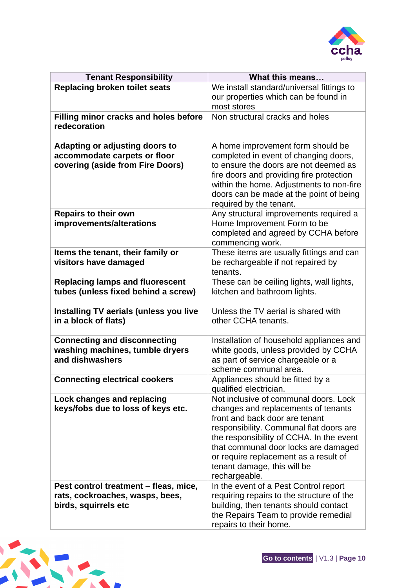

| <b>Tenant Responsibility</b>                                                                              | What this means                                                                                                                                                                                                                                                                                                                        |
|-----------------------------------------------------------------------------------------------------------|----------------------------------------------------------------------------------------------------------------------------------------------------------------------------------------------------------------------------------------------------------------------------------------------------------------------------------------|
| <b>Replacing broken toilet seats</b>                                                                      | We install standard/universal fittings to                                                                                                                                                                                                                                                                                              |
|                                                                                                           | our properties which can be found in<br>most stores                                                                                                                                                                                                                                                                                    |
| Filling minor cracks and holes before<br>redecoration                                                     | Non structural cracks and holes                                                                                                                                                                                                                                                                                                        |
| <b>Adapting or adjusting doors to</b><br>accommodate carpets or floor<br>covering (aside from Fire Doors) | A home improvement form should be<br>completed in event of changing doors,<br>to ensure the doors are not deemed as<br>fire doors and providing fire protection<br>within the home. Adjustments to non-fire<br>doors can be made at the point of being<br>required by the tenant.                                                      |
| <b>Repairs to their own</b><br>improvements/alterations                                                   | Any structural improvements required a<br>Home Improvement Form to be<br>completed and agreed by CCHA before<br>commencing work.                                                                                                                                                                                                       |
| Items the tenant, their family or<br>visitors have damaged                                                | These items are usually fittings and can<br>be rechargeable if not repaired by<br>tenants.                                                                                                                                                                                                                                             |
| <b>Replacing lamps and fluorescent</b><br>tubes (unless fixed behind a screw)                             | These can be ceiling lights, wall lights,<br>kitchen and bathroom lights.                                                                                                                                                                                                                                                              |
| Installing TV aerials (unless you live<br>in a block of flats)                                            | Unless the TV aerial is shared with<br>other CCHA tenants.                                                                                                                                                                                                                                                                             |
| <b>Connecting and disconnecting</b><br>washing machines, tumble dryers<br>and dishwashers                 | Installation of household appliances and<br>white goods, unless provided by CCHA<br>as part of service chargeable or a<br>scheme communal area.                                                                                                                                                                                        |
| <b>Connecting electrical cookers</b>                                                                      | Appliances should be fitted by a<br>qualified electrician.                                                                                                                                                                                                                                                                             |
| <b>Lock changes and replacing</b><br>keys/fobs due to loss of keys etc.                                   | Not inclusive of communal doors. Lock<br>changes and replacements of tenants<br>front and back door are tenant<br>responsibility. Communal flat doors are<br>the responsibility of CCHA. In the event<br>that communal door locks are damaged<br>or require replacement as a result of<br>tenant damage, this will be<br>rechargeable. |
| Pest control treatment - fleas, mice,<br>rats, cockroaches, wasps, bees,<br>birds, squirrels etc          | In the event of a Pest Control report<br>requiring repairs to the structure of the<br>building, then tenants should contact<br>the Repairs Team to provide remedial<br>repairs to their home.                                                                                                                                          |

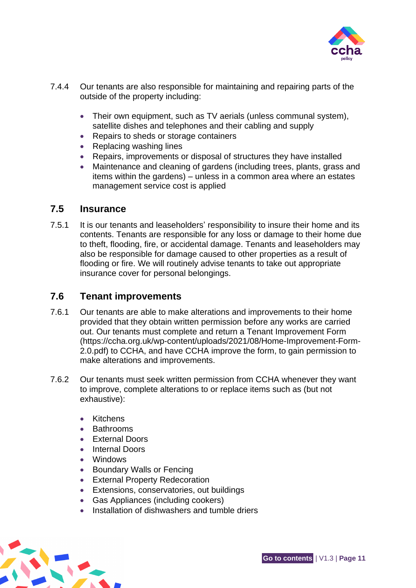

- 7.4.4 Our tenants are also responsible for maintaining and repairing parts of the outside of the property including:
	- Their own equipment, such as TV aerials (unless communal system), satellite dishes and telephones and their cabling and supply
	- Repairs to sheds or storage containers
	- Replacing washing lines
	- Repairs, improvements or disposal of structures they have installed
	- Maintenance and cleaning of gardens (including trees, plants, grass and items within the gardens) – unless in a common area where an estates management service cost is applied

#### <span id="page-13-0"></span>**7.5 Insurance**

7.5.1 It is our tenants and leaseholders' responsibility to insure their home and its contents. Tenants are responsible for any loss or damage to their home due to theft, flooding, fire, or accidental damage. Tenants and leaseholders may also be responsible for damage caused to other properties as a result of flooding or fire. We will routinely advise tenants to take out appropriate insurance cover for personal belongings.

### <span id="page-13-1"></span>**7.6 Tenant improvements**

- 7.6.1 Our tenants are able to make alterations and improvements to their home provided that they obtain written permission before any works are carried out. Our tenants must complete and return a Tenant Improvement Form (https://ccha.org.uk/wp-content/uploads/2021/08/Home-Improvement-Form-2.0.pdf) to CCHA, and have CCHA improve the form, to gain permission to make alterations and improvements.
- 7.6.2 Our tenants must seek written permission from CCHA whenever they want to improve, complete alterations to or replace items such as (but not exhaustive):
	- Kitchens
	- Bathrooms
	- **External Doors**
	- Internal Doors
	- Windows
	- Boundary Walls or Fencing
	- External Property Redecoration
	- Extensions, conservatories, out buildings
	- Gas Appliances (including cookers)
	- Installation of dishwashers and tumble driers

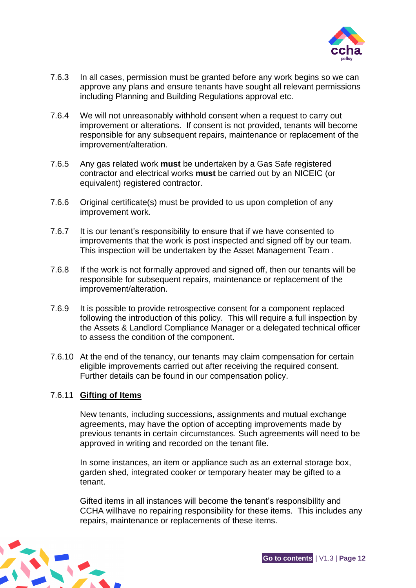

- 7.6.3 In all cases, permission must be granted before any work begins so we can approve any plans and ensure tenants have sought all relevant permissions including Planning and Building Regulations approval etc.
- 7.6.4 We will not unreasonably withhold consent when a request to carry out improvement or alterations. If consent is not provided, tenants will become responsible for any subsequent repairs, maintenance or replacement of the improvement/alteration.
- 7.6.5 Any gas related work **must** be undertaken by a Gas Safe registered contractor and electrical works **must** be carried out by an NICEIC (or equivalent) registered contractor.
- 7.6.6 Original certificate(s) must be provided to us upon completion of any improvement work.
- 7.6.7 It is our tenant's responsibility to ensure that if we have consented to improvements that the work is post inspected and signed off by our team. This inspection will be undertaken by the Asset Management Team .
- 7.6.8 If the work is not formally approved and signed off, then our tenants will be responsible for subsequent repairs, maintenance or replacement of the improvement/alteration.
- 7.6.9 It is possible to provide retrospective consent for a component replaced following the introduction of this policy. This will require a full inspection by the Assets & Landlord Compliance Manager or a delegated technical officer to assess the condition of the component.
- 7.6.10 At the end of the tenancy, our tenants may claim compensation for certain eligible improvements carried out after receiving the required consent. Further details can be found in our compensation policy.

#### 7.6.11 **Gifting of Items**

New tenants, including successions, assignments and mutual exchange agreements, may have the option of accepting improvements made by previous tenants in certain circumstances. Such agreements will need to be approved in writing and recorded on the tenant file.

In some instances, an item or appliance such as an external storage box, garden shed, integrated cooker or temporary heater may be gifted to a tenant.

Gifted items in all instances will become the tenant's responsibility and CCHA willhave no repairing responsibility for these items. This includes any repairs, maintenance or replacements of these items.

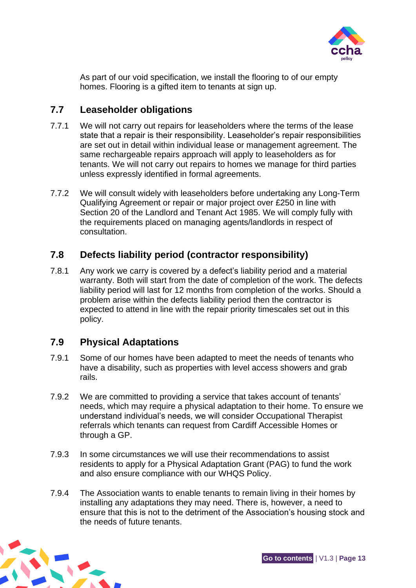

As part of our void specification, we install the flooring to of our empty homes. Flooring is a gifted item to tenants at sign up.

# <span id="page-15-0"></span>**7.7 Leaseholder obligations**

- 7.7.1 We will not carry out repairs for leaseholders where the terms of the lease state that a repair is their responsibility. Leaseholder's repair responsibilities are set out in detail within individual lease or management agreement. The same rechargeable repairs approach will apply to leaseholders as for tenants. We will not carry out repairs to homes we manage for third parties unless expressly identified in formal agreements.
- 7.7.2 We will consult widely with leaseholders before undertaking any Long-Term Qualifying Agreement or repair or major project over £250 in line with Section 20 of the Landlord and Tenant Act 1985. We will comply fully with the requirements placed on managing agents/landlords in respect of consultation.

# <span id="page-15-1"></span>**7.8 Defects liability period (contractor responsibility)**

7.8.1 Any work we carry is covered by a defect's liability period and a material warranty. Both will start from the date of completion of the work. The defects liability period will last for 12 months from completion of the works. Should a problem arise within the defects liability period then the contractor is expected to attend in line with the repair priority timescales set out in this policy.

# <span id="page-15-2"></span>**7.9 Physical Adaptations**

- 7.9.1 Some of our homes have been adapted to meet the needs of tenants who have a disability, such as properties with level access showers and grab rails.
- 7.9.2 We are committed to providing a service that takes account of tenants' needs, which may require a physical adaptation to their home. To ensure we understand individual's needs, we will consider Occupational Therapist referrals which tenants can request from Cardiff Accessible Homes or through a GP.
- 7.9.3 In some circumstances we will use their recommendations to assist residents to apply for a Physical Adaptation Grant (PAG) to fund the work and also ensure compliance with our WHQS Policy.
- 7.9.4 The Association wants to enable tenants to remain living in their homes by installing any adaptations they may need. There is, however, a need to ensure that this is not to the detriment of the Association's housing stock and the needs of future tenants.

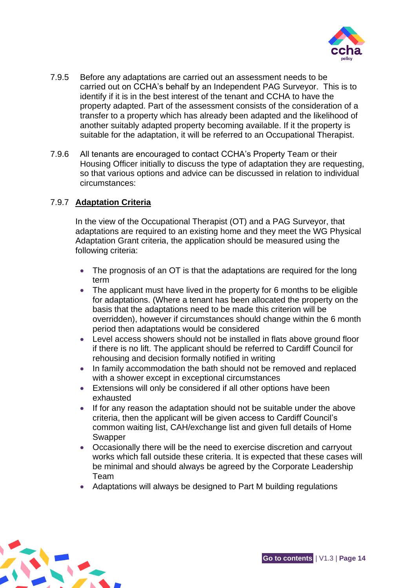

- 7.9.5 Before any adaptations are carried out an assessment needs to be carried out on CCHA's behalf by an Independent PAG Surveyor. This is to identify if it is in the best interest of the tenant and CCHA to have the property adapted. Part of the assessment consists of the consideration of a transfer to a property which has already been adapted and the likelihood of another suitably adapted property becoming available. If it the property is suitable for the adaptation, it will be referred to an Occupational Therapist.
- 7.9.6 All tenants are encouraged to contact CCHA's Property Team or their Housing Officer initially to discuss the type of adaptation they are requesting, so that various options and advice can be discussed in relation to individual circumstances:

#### 7.9.7 **Adaptation Criteria**

In the view of the Occupational Therapist (OT) and a PAG Surveyor, that adaptations are required to an existing home and they meet the WG Physical Adaptation Grant criteria, the application should be measured using the following criteria:

- The prognosis of an OT is that the adaptations are required for the long term
- The applicant must have lived in the property for 6 months to be eligible for adaptations. (Where a tenant has been allocated the property on the basis that the adaptations need to be made this criterion will be overridden), however if circumstances should change within the 6 month period then adaptations would be considered
- Level access showers should not be installed in flats above ground floor if there is no lift. The applicant should be referred to Cardiff Council for rehousing and decision formally notified in writing
- In family accommodation the bath should not be removed and replaced with a shower except in exceptional circumstances
- Extensions will only be considered if all other options have been exhausted
- If for any reason the adaptation should not be suitable under the above criteria, then the applicant will be given access to Cardiff Council's common waiting list, CAH/exchange list and given full details of Home Swapper
- Occasionally there will be the need to exercise discretion and carryout works which fall outside these criteria. It is expected that these cases will be minimal and should always be agreed by the Corporate Leadership Team
- Adaptations will always be designed to Part M building regulations

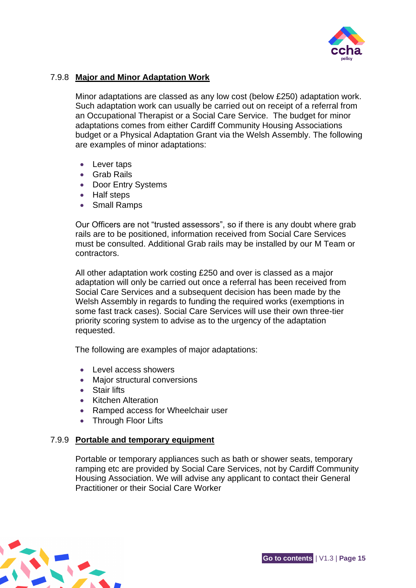

#### 7.9.8 **Major and Minor Adaptation Work**

Minor adaptations are classed as any low cost (below £250) adaptation work. Such adaptation work can usually be carried out on receipt of a referral from an Occupational Therapist or a Social Care Service. The budget for minor adaptations comes from either Cardiff Community Housing Associations budget or a Physical Adaptation Grant via the Welsh Assembly. The following are examples of minor adaptations:

- Lever taps
- Grab Rails
- Door Entry Systems
- Half steps
- Small Ramps

Our Officers are not "trusted assessors", so if there is any doubt where grab rails are to be positioned, information received from Social Care Services must be consulted. Additional Grab rails may be installed by our M Team or contractors.

All other adaptation work costing £250 and over is classed as a major adaptation will only be carried out once a referral has been received from Social Care Services and a subsequent decision has been made by the Welsh Assembly in regards to funding the required works (exemptions in some fast track cases). Social Care Services will use their own three-tier priority scoring system to advise as to the urgency of the adaptation requested.

The following are examples of major adaptations:

- Level access showers
- Major structural conversions
- Stair lifts
- Kitchen Alteration
- Ramped access for Wheelchair user
- Through Floor Lifts

#### 7.9.9 **Portable and temporary equipment**

Portable or temporary appliances such as bath or shower seats, temporary ramping etc are provided by Social Care Services, not by Cardiff Community Housing Association. We will advise any applicant to contact their General Practitioner or their Social Care Worker

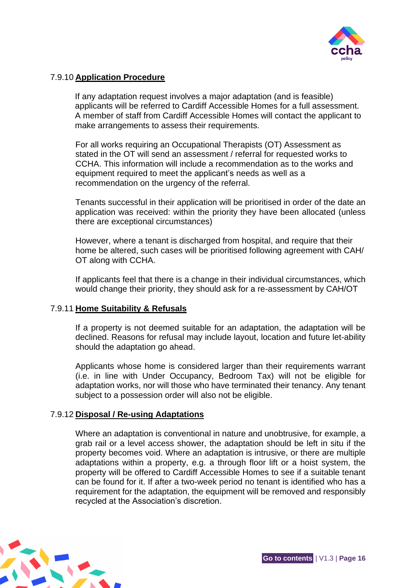

#### 7.9.10 **Application Procedure**

If any adaptation request involves a major adaptation (and is feasible) applicants will be referred to Cardiff Accessible Homes for a full assessment. A member of staff from Cardiff Accessible Homes will contact the applicant to make arrangements to assess their requirements.

For all works requiring an Occupational Therapists (OT) Assessment as stated in the OT will send an assessment / referral for requested works to CCHA. This information will include a recommendation as to the works and equipment required to meet the applicant's needs as well as a recommendation on the urgency of the referral.

Tenants successful in their application will be prioritised in order of the date an application was received: within the priority they have been allocated (unless there are exceptional circumstances)

However, where a tenant is discharged from hospital, and require that their home be altered, such cases will be prioritised following agreement with CAH/ OT along with CCHA.

If applicants feel that there is a change in their individual circumstances, which would change their priority, they should ask for a re-assessment by CAH/OT

#### 7.9.11 **Home Suitability & Refusals**

If a property is not deemed suitable for an adaptation, the adaptation will be declined. Reasons for refusal may include layout, location and future let-ability should the adaptation go ahead.

Applicants whose home is considered larger than their requirements warrant (i.e. in line with Under Occupancy, Bedroom Tax) will not be eligible for adaptation works, nor will those who have terminated their tenancy. Any tenant subject to a possession order will also not be eligible.

#### 7.9.12 **Disposal / Re-using Adaptations**

Where an adaptation is conventional in nature and unobtrusive, for example, a grab rail or a level access shower, the adaptation should be left in situ if the property becomes void. Where an adaptation is intrusive, or there are multiple adaptations within a property, e.g. a through floor lift or a hoist system, the property will be offered to Cardiff Accessible Homes to see if a suitable tenant can be found for it. If after a two-week period no tenant is identified who has a requirement for the adaptation, the equipment will be removed and responsibly recycled at the Association's discretion.

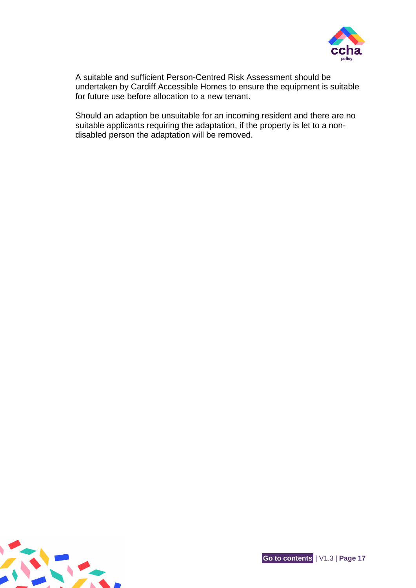

A suitable and sufficient Person-Centred Risk Assessment should be undertaken by Cardiff Accessible Homes to ensure the equipment is suitable for future use before allocation to a new tenant.

Should an adaption be unsuitable for an incoming resident and there are no suitable applicants requiring the adaptation, if the property is let to a nondisabled person the adaptation will be removed.

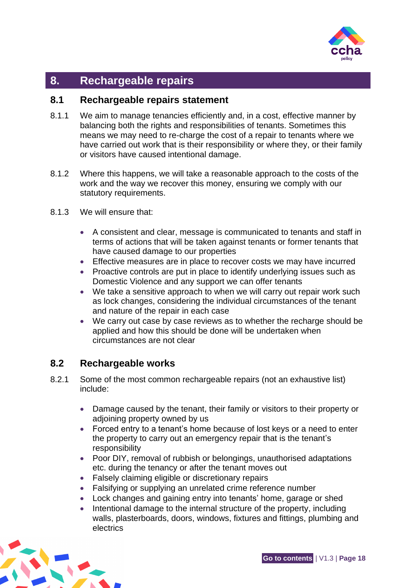

# <span id="page-20-0"></span>**8. Rechargeable repairs**

#### <span id="page-20-1"></span>**8.1 Rechargeable repairs statement**

- 8.1.1 We aim to manage tenancies efficiently and, in a cost, effective manner by balancing both the rights and responsibilities of tenants. Sometimes this means we may need to re-charge the cost of a repair to tenants where we have carried out work that is their responsibility or where they, or their family or visitors have caused intentional damage.
- 8.1.2 Where this happens, we will take a reasonable approach to the costs of the work and the way we recover this money, ensuring we comply with our statutory requirements.
- 8.1.3 We will ensure that:
	- A consistent and clear, message is communicated to tenants and staff in terms of actions that will be taken against tenants or former tenants that have caused damage to our properties
	- Effective measures are in place to recover costs we may have incurred
	- Proactive controls are put in place to identify underlying issues such as Domestic Violence and any support we can offer tenants
	- We take a sensitive approach to when we will carry out repair work such as lock changes, considering the individual circumstances of the tenant and nature of the repair in each case
	- We carry out case by case reviews as to whether the recharge should be applied and how this should be done will be undertaken when circumstances are not clear

# <span id="page-20-2"></span>**8.2 Rechargeable works**

- 8.2.1 Some of the most common rechargeable repairs (not an exhaustive list) include:
	- Damage caused by the tenant, their family or visitors to their property or adjoining property owned by us
	- Forced entry to a tenant's home because of lost keys or a need to enter the property to carry out an emergency repair that is the tenant's responsibility
	- Poor DIY, removal of rubbish or belongings, unauthorised adaptations etc. during the tenancy or after the tenant moves out
	- Falsely claiming eligible or discretionary repairs
	- Falsifying or supplying an unrelated crime reference number
	- Lock changes and gaining entry into tenants' home, garage or shed
	- Intentional damage to the internal structure of the property, including walls, plasterboards, doors, windows, fixtures and fittings, plumbing and electrics

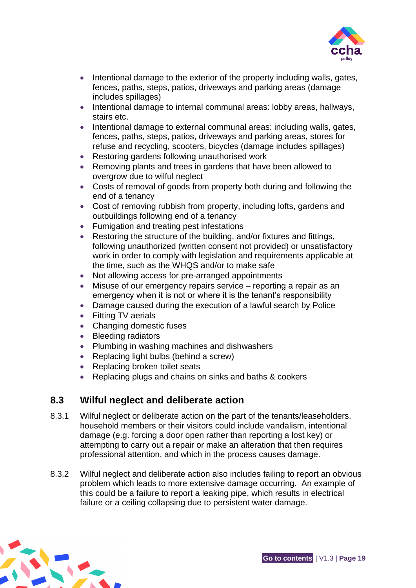

- Intentional damage to the exterior of the property including walls, gates, fences, paths, steps, patios, driveways and parking areas (damage includes spillages)
- Intentional damage to internal communal areas: lobby areas, hallways, stairs etc.
- Intentional damage to external communal areas: including walls, gates, fences, paths, steps, patios, driveways and parking areas, stores for refuse and recycling, scooters, bicycles (damage includes spillages)
- Restoring gardens following unauthorised work
- Removing plants and trees in gardens that have been allowed to overgrow due to wilful neglect
- Costs of removal of goods from property both during and following the end of a tenancy
- Cost of removing rubbish from property, including lofts, gardens and outbuildings following end of a tenancy
- Fumigation and treating pest infestations
- Restoring the structure of the building, and/or fixtures and fittings, following unauthorized (written consent not provided) or unsatisfactory work in order to comply with legislation and requirements applicable at the time, such as the WHQS and/or to make safe
- Not allowing access for pre-arranged appointments
- Misuse of our emergency repairs service reporting a repair as an emergency when it is not or where it is the tenant's responsibility
- Damage caused during the execution of a lawful search by Police
- Fitting TV aerials
- Changing domestic fuses
- Bleeding radiators
- Plumbing in washing machines and dishwashers
- Replacing light bulbs (behind a screw)
- Replacing broken toilet seats
- Replacing plugs and chains on sinks and baths & cookers

## <span id="page-21-0"></span>**8.3 Wilful neglect and deliberate action**

- 8.3.1 Wilful neglect or deliberate action on the part of the tenants/leaseholders, household members or their visitors could include vandalism, intentional damage (e.g. forcing a door open rather than reporting a lost key) or attempting to carry out a repair or make an alteration that then requires professional attention, and which in the process causes damage.
- 8.3.2 Wilful neglect and deliberate action also includes failing to report an obvious problem which leads to more extensive damage occurring. An example of this could be a failure to report a leaking pipe, which results in electrical failure or a ceiling collapsing due to persistent water damage.

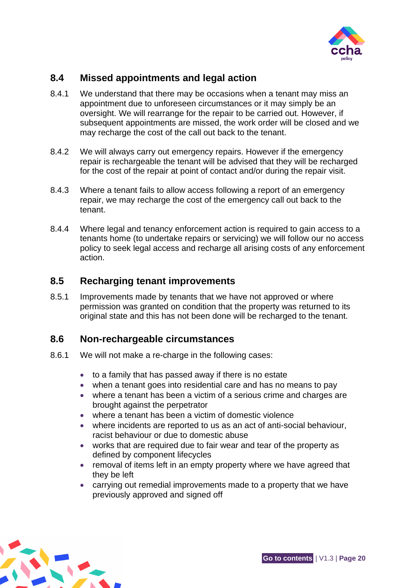

# <span id="page-22-0"></span>**8.4 Missed appointments and legal action**

- 8.4.1 We understand that there may be occasions when a tenant may miss an appointment due to unforeseen circumstances or it may simply be an oversight. We will rearrange for the repair to be carried out. However, if subsequent appointments are missed, the work order will be closed and we may recharge the cost of the call out back to the tenant.
- 8.4.2 We will always carry out emergency repairs. However if the emergency repair is rechargeable the tenant will be advised that they will be recharged for the cost of the repair at point of contact and/or during the repair visit.
- 8.4.3 Where a tenant fails to allow access following a report of an emergency repair, we may recharge the cost of the emergency call out back to the tenant.
- 8.4.4 Where legal and tenancy enforcement action is required to gain access to a tenants home (to undertake repairs or servicing) we will follow our no access policy to seek legal access and recharge all arising costs of any enforcement action.

## <span id="page-22-1"></span>**8.5 Recharging tenant improvements**

8.5.1 Improvements made by tenants that we have not approved or where permission was granted on condition that the property was returned to its original state and this has not been done will be recharged to the tenant.

#### <span id="page-22-2"></span>**8.6 Non-rechargeable circumstances**

- 8.6.1 We will not make a re-charge in the following cases:
	- to a family that has passed away if there is no estate
	- when a tenant goes into residential care and has no means to pay
	- where a tenant has been a victim of a serious crime and charges are brought against the perpetrator
	- where a tenant has been a victim of domestic violence
	- where incidents are reported to us as an act of anti-social behaviour, racist behaviour or due to domestic abuse
	- works that are required due to fair wear and tear of the property as defined by component lifecycles
	- removal of items left in an empty property where we have agreed that they be left
	- carrying out remedial improvements made to a property that we have previously approved and signed off

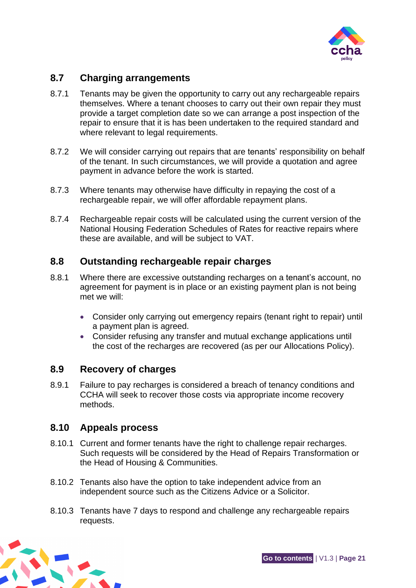

# <span id="page-23-0"></span>**8.7 Charging arrangements**

- 8.7.1 Tenants may be given the opportunity to carry out any rechargeable repairs themselves. Where a tenant chooses to carry out their own repair they must provide a target completion date so we can arrange a post inspection of the repair to ensure that it is has been undertaken to the required standard and where relevant to legal requirements.
- 8.7.2 We will consider carrying out repairs that are tenants' responsibility on behalf of the tenant. In such circumstances, we will provide a quotation and agree payment in advance before the work is started.
- 8.7.3 Where tenants may otherwise have difficulty in repaying the cost of a rechargeable repair, we will offer affordable repayment plans.
- 8.7.4 Rechargeable repair costs will be calculated using the current version of the National Housing Federation Schedules of Rates for reactive repairs where these are available, and will be subject to VAT.

## <span id="page-23-1"></span>**8.8 Outstanding rechargeable repair charges**

- 8.8.1 Where there are excessive outstanding recharges on a tenant's account, no agreement for payment is in place or an existing payment plan is not being met we will:
	- Consider only carrying out emergency repairs (tenant right to repair) until a payment plan is agreed.
	- Consider refusing any transfer and mutual exchange applications until the cost of the recharges are recovered (as per our Allocations Policy).

#### <span id="page-23-2"></span>**8.9 Recovery of charges**

8.9.1 Failure to pay recharges is considered a breach of tenancy conditions and CCHA will seek to recover those costs via appropriate income recovery methods.

#### <span id="page-23-3"></span>**8.10 Appeals process**

- 8.10.1 Current and former tenants have the right to challenge repair recharges. Such requests will be considered by the Head of Repairs Transformation or the Head of Housing & Communities.
- 8.10.2 Tenants also have the option to take independent advice from an independent source such as the Citizens Advice or a Solicitor.
- 8.10.3 Tenants have 7 days to respond and challenge any rechargeable repairs requests.

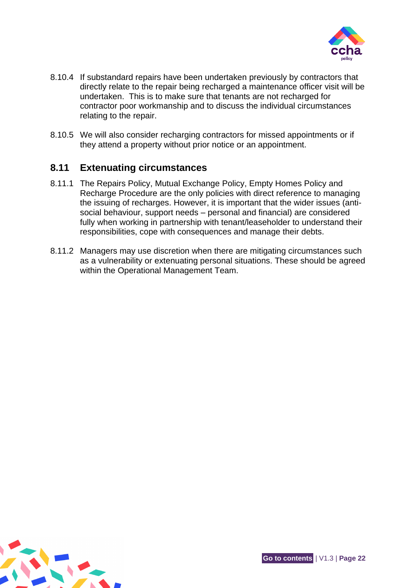

- 8.10.4 If substandard repairs have been undertaken previously by contractors that directly relate to the repair being recharged a maintenance officer visit will be undertaken. This is to make sure that tenants are not recharged for contractor poor workmanship and to discuss the individual circumstances relating to the repair.
- 8.10.5 We will also consider recharging contractors for missed appointments or if they attend a property without prior notice or an appointment.

## <span id="page-24-0"></span>**8.11 Extenuating circumstances**

- 8.11.1 The Repairs Policy, Mutual Exchange Policy, Empty Homes Policy and Recharge Procedure are the only policies with direct reference to managing the issuing of recharges. However, it is important that the wider issues (antisocial behaviour, support needs – personal and financial) are considered fully when working in partnership with tenant/leaseholder to understand their responsibilities, cope with consequences and manage their debts.
- 8.11.2 Managers may use discretion when there are mitigating circumstances such as a vulnerability or extenuating personal situations. These should be agreed within the Operational Management Team.

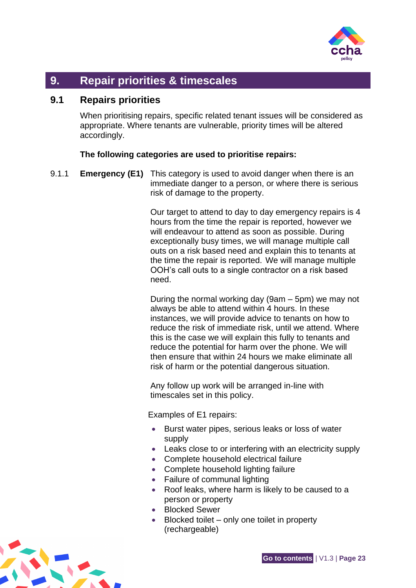

# <span id="page-25-0"></span>**9. Repair priorities & timescales**

## <span id="page-25-1"></span>**9.1 Repairs priorities**

When prioritising repairs, specific related tenant issues will be considered as appropriate. Where tenants are vulnerable, priority times will be altered accordingly.

#### **The following categories are used to prioritise repairs:**

9.1.1 **Emergency (E1)** This category is used to avoid danger when there is an immediate danger to a person, or where there is serious risk of damage to the property.

> Our target to attend to day to day emergency repairs is 4 hours from the time the repair is reported, however we will endeavour to attend as soon as possible. During exceptionally busy times, we will manage multiple call outs on a risk based need and explain this to tenants at the time the repair is reported. We will manage multiple OOH's call outs to a single contractor on a risk based need.

> During the normal working day (9am – 5pm) we may not always be able to attend within 4 hours. In these instances, we will provide advice to tenants on how to reduce the risk of immediate risk, until we attend. Where this is the case we will explain this fully to tenants and reduce the potential for harm over the phone. We will then ensure that within 24 hours we make eliminate all risk of harm or the potential dangerous situation.

Any follow up work will be arranged in-line with timescales set in this policy.

Examples of E1 repairs:

- Burst water pipes, serious leaks or loss of water supply
- Leaks close to or interfering with an electricity supply
- Complete household electrical failure
- Complete household lighting failure
- Failure of communal lighting
- Roof leaks, where harm is likely to be caused to a person or property
- Blocked Sewer
- Blocked toilet only one toilet in property (rechargeable)

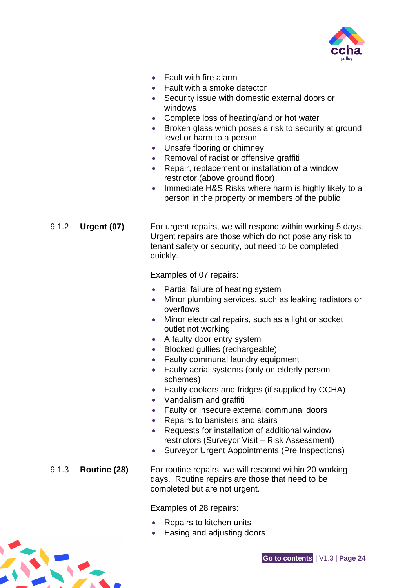

- Fault with fire alarm
- Fault with a smoke detector
- Security issue with domestic external doors or windows
- Complete loss of heating/and or hot water
- Broken glass which poses a risk to security at ground level or harm to a person
- Unsafe flooring or chimney
- Removal of racist or offensive graffiti
- Repair, replacement or installation of a window restrictor (above ground floor)
- Immediate H&S Risks where harm is highly likely to a person in the property or members of the public

9.1.2 **Urgent (07)** For urgent repairs, we will respond within working 5 days. Urgent repairs are those which do not pose any risk to tenant safety or security, but need to be completed quickly.

Examples of 07 repairs:

- Partial failure of heating system
- Minor plumbing services, such as leaking radiators or overflows
- Minor electrical repairs, such as a light or socket outlet not working
- A faulty door entry system
- Blocked gullies (rechargeable)
- Faulty communal laundry equipment
- Faulty aerial systems (only on elderly person schemes)
- Faulty cookers and fridges (if supplied by CCHA)
- Vandalism and graffiti
- Faulty or insecure external communal doors
- Repairs to banisters and stairs
- Requests for installation of additional window restrictors (Surveyor Visit – Risk Assessment)
- Surveyor Urgent Appointments (Pre Inspections)

#### 9.1.3 **Routine (28)** For routine repairs, we will respond within 20 working days. Routine repairs are those that need to be completed but are not urgent.

Examples of 28 repairs:

- Repairs to kitchen units
- Easing and adjusting doors

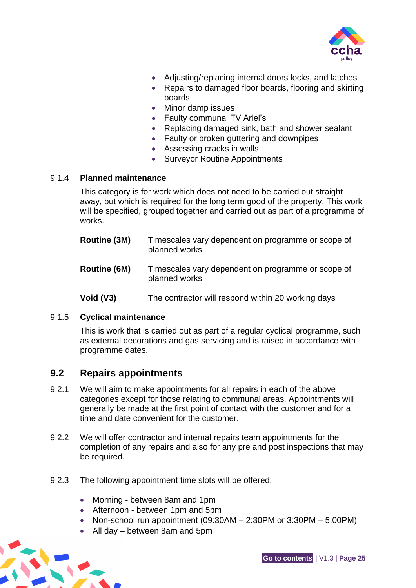

- Adjusting/replacing internal doors locks, and latches
- Repairs to damaged floor boards, flooring and skirting boards
- Minor damp issues
- Faulty communal TV Ariel's
- Replacing damaged sink, bath and shower sealant
- Faulty or broken guttering and downpipes
- Assessing cracks in walls
- Surveyor Routine Appointments

#### 9.1.4 **Planned maintenance**

This category is for work which does not need to be carried out straight away, but which is required for the long term good of the property. This work will be specified, grouped together and carried out as part of a programme of works.

| Routine (3M) | Timescales vary dependent on programme or scope of<br>planned works |
|--------------|---------------------------------------------------------------------|
| Routine (6M) | Timescales vary dependent on programme or scope of<br>planned works |
| Void (V3)    | The contractor will respond within 20 working days                  |

# 9.1.5 **Cyclical maintenance**

This is work that is carried out as part of a regular cyclical programme, such as external decorations and gas servicing and is raised in accordance with programme dates.

#### <span id="page-27-0"></span>**9.2 Repairs appointments**

- 9.2.1 We will aim to make appointments for all repairs in each of the above categories except for those relating to communal areas. Appointments will generally be made at the first point of contact with the customer and for a time and date convenient for the customer.
- 9.2.2 We will offer contractor and internal repairs team appointments for the completion of any repairs and also for any pre and post inspections that may be required.
- 9.2.3 The following appointment time slots will be offered:
	- Morning between 8am and 1pm
	- Afternoon between 1pm and 5pm
	- Non-school run appointment  $(09:30AM 2:30PM$  or  $3:30PM 5:00PM$ )
	- All day between 8am and 5pm

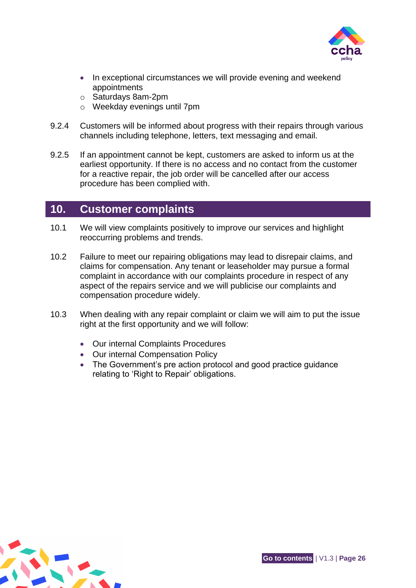

- In exceptional circumstances we will provide evening and weekend appointments
- o Saturdays 8am-2pm
- o Weekday evenings until 7pm
- 9.2.4 Customers will be informed about progress with their repairs through various channels including telephone, letters, text messaging and email.
- 9.2.5 If an appointment cannot be kept, customers are asked to inform us at the earliest opportunity. If there is no access and no contact from the customer for a reactive repair, the job order will be cancelled after our access procedure has been complied with.

## <span id="page-28-0"></span>**10. Customer complaints**

- 10.1 We will view complaints positively to improve our services and highlight reoccurring problems and trends.
- 10.2 Failure to meet our repairing obligations may lead to disrepair claims, and claims for compensation. Any tenant or leaseholder may pursue a formal complaint in accordance with our complaints procedure in respect of any aspect of the repairs service and we will publicise our complaints and compensation procedure widely.
- 10.3 When dealing with any repair complaint or claim we will aim to put the issue right at the first opportunity and we will follow:
	- Our internal Complaints Procedures
	- Our internal Compensation Policy
	- The Government's pre action protocol and good practice guidance relating to 'Right to Repair' obligations.

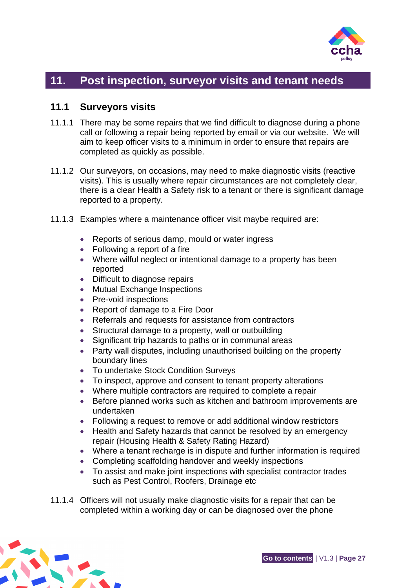

# <span id="page-29-0"></span>**11. Post inspection, surveyor visits and tenant needs**

#### <span id="page-29-1"></span>**11.1 Surveyors visits**

- 11.1.1 There may be some repairs that we find difficult to diagnose during a phone call or following a repair being reported by email or via our website. We will aim to keep officer visits to a minimum in order to ensure that repairs are completed as quickly as possible.
- 11.1.2 Our surveyors, on occasions, may need to make diagnostic visits (reactive visits). This is usually where repair circumstances are not completely clear, there is a clear Health a Safety risk to a tenant or there is significant damage reported to a property.
- 11.1.3 Examples where a maintenance officer visit maybe required are:
	- Reports of serious damp, mould or water ingress
	- Following a report of a fire
	- Where wilful neglect or intentional damage to a property has been reported
	- Difficult to diagnose repairs
	- Mutual Exchange Inspections
	- Pre-void inspections
	- Report of damage to a Fire Door
	- Referrals and requests for assistance from contractors
	- Structural damage to a property, wall or outbuilding
	- Significant trip hazards to paths or in communal areas
	- Party wall disputes, including unauthorised building on the property boundary lines
	- To undertake Stock Condition Surveys
	- To inspect, approve and consent to tenant property alterations
	- Where multiple contractors are required to complete a repair
	- Before planned works such as kitchen and bathroom improvements are undertaken
	- Following a request to remove or add additional window restrictors
	- Health and Safety hazards that cannot be resolved by an emergency repair (Housing Health & Safety Rating Hazard)
	- Where a tenant recharge is in dispute and further information is required
	- Completing scaffolding handover and weekly inspections
	- To assist and make joint inspections with specialist contractor trades such as Pest Control, Roofers, Drainage etc
- 11.1.4 Officers will not usually make diagnostic visits for a repair that can be completed within a working day or can be diagnosed over the phone

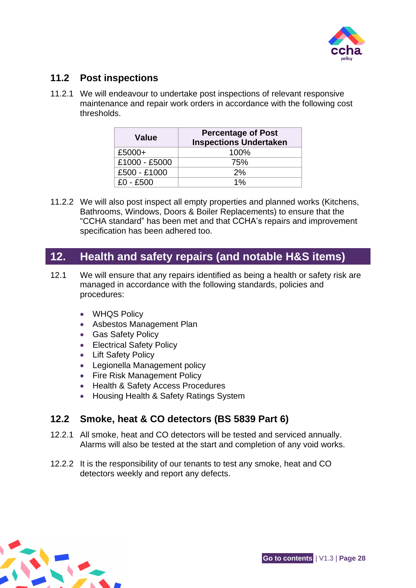

# <span id="page-30-0"></span>**11.2 Post inspections**

11.2.1 We will endeavour to undertake post inspections of relevant responsive maintenance and repair work orders in accordance with the following cost thresholds.

| Value         | <b>Percentage of Post</b><br><b>Inspections Undertaken</b> |
|---------------|------------------------------------------------------------|
| £5000+        | 100%                                                       |
| £1000 - £5000 | 75%                                                        |
| £500 - £1000  | 2%                                                         |
| $£0 - £500$   | $1\%$                                                      |

11.2.2 We will also post inspect all empty properties and planned works (Kitchens, Bathrooms, Windows, Doors & Boiler Replacements) to ensure that the "CCHA standard" has been met and that CCHA's repairs and improvement specification has been adhered too.

# <span id="page-30-1"></span>**12. Health and safety repairs (and notable H&S items)**

- 12.1 We will ensure that any repairs identified as being a health or safety risk are managed in accordance with the following standards, policies and procedures:
	- WHQS Policy
	- Asbestos Management Plan
	- Gas Safety Policy
	- Electrical Safety Policy
	- Lift Safety Policy
	- Legionella Management policy
	- Fire Risk Management Policy
	- Health & Safety Access Procedures
	- Housing Health & Safety Ratings System

# <span id="page-30-2"></span>**12.2 Smoke, heat & CO detectors (BS 5839 Part 6)**

- 12.2.1 All smoke, heat and CO detectors will be tested and serviced annually. Alarms will also be tested at the start and completion of any void works.
- 12.2.2 It is the responsibility of our tenants to test any smoke, heat and CO detectors weekly and report any defects.

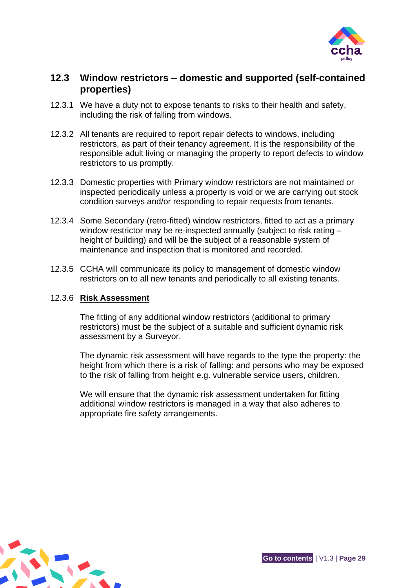

## <span id="page-31-0"></span>**12.3 Window restrictors – domestic and supported (self-contained properties)**

- 12.3.1 We have a duty not to expose tenants to risks to their health and safety, including the risk of falling from windows.
- 12.3.2 All tenants are required to report repair defects to windows, including restrictors, as part of their tenancy agreement. It is the responsibility of the responsible adult living or managing the property to report defects to window restrictors to us promptly.
- 12.3.3 Domestic properties with Primary window restrictors are not maintained or inspected periodically unless a property is void or we are carrying out stock condition surveys and/or responding to repair requests from tenants.
- 12.3.4 Some Secondary (retro-fitted) window restrictors, fitted to act as a primary window restrictor may be re-inspected annually (subject to risk rating – height of building) and will be the subject of a reasonable system of maintenance and inspection that is monitored and recorded.
- 12.3.5 CCHA will communicate its policy to management of domestic window restrictors on to all new tenants and periodically to all existing tenants.

#### 12.3.6 **Risk Assessment**

The fitting of any additional window restrictors (additional to primary restrictors) must be the subject of a suitable and sufficient dynamic risk assessment by a Surveyor.

The dynamic risk assessment will have regards to the type the property: the height from which there is a risk of falling: and persons who may be exposed to the risk of falling from height e.g. vulnerable service users, children.

We will ensure that the dynamic risk assessment undertaken for fitting additional window restrictors is managed in a way that also adheres to appropriate fire safety arrangements.

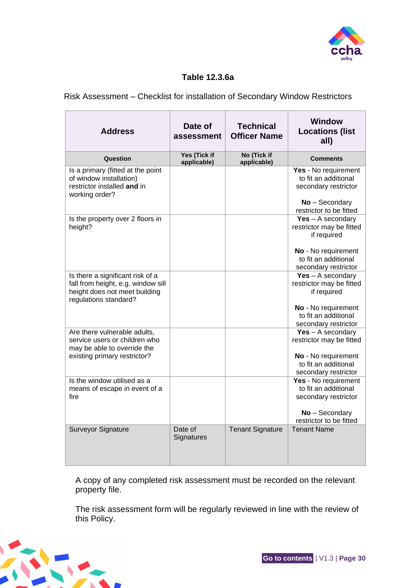

#### **Table 12.3.6a**

#### Risk Assessment – Checklist for installation of Secondary Window Restrictors

| <b>Address</b>                                                                                                                   | Date of<br>assessment       | <b>Technical</b><br><b>Officer Name</b> | <b>Window</b><br><b>Locations (list</b><br>all)                                                                                       |
|----------------------------------------------------------------------------------------------------------------------------------|-----------------------------|-----------------------------------------|---------------------------------------------------------------------------------------------------------------------------------------|
| Question                                                                                                                         | Yes (Tick if<br>applicable) | No (Tick if<br>applicable)              | <b>Comments</b>                                                                                                                       |
| Is a primary (fitted at the point<br>of window installation)<br>restrictor installed and in<br>working order?                    |                             |                                         | Yes - No requirement<br>to fit an additional<br>secondary restrictor<br>No - Secondary<br>restrictor to be fitted                     |
| Is the property over 2 floors in<br>height?                                                                                      |                             |                                         | $Yes - A secondary$<br>restrictor may be fitted<br>if required<br>No - No requirement<br>to fit an additional<br>secondary restrictor |
| Is there a significant risk of a<br>fall from height, e.g. window sill<br>height does not meet building<br>regulations standard? |                             |                                         | $Yes - A secondary$<br>restrictor may be fitted<br>if required<br>No - No requirement<br>to fit an additional<br>secondary restrictor |
| Are there vulnerable adults,<br>service users or children who<br>may be able to override the<br>existing primary restrictor?     |                             |                                         | $Yes - A secondary$<br>restrictor may be fitted<br>No - No requirement<br>to fit an additional<br>secondary restrictor                |
| Is the window utilised as a<br>means of escape in event of a<br>fire                                                             |                             |                                         | Yes - No requirement<br>to fit an additional<br>secondary restrictor<br>No - Secondary<br>restrictor to be fitted                     |
| <b>Surveyor Signature</b>                                                                                                        | Date of<br>Signatures       | <b>Tenant Signature</b>                 | <b>Tenant Name</b>                                                                                                                    |

A copy of any completed risk assessment must be recorded on the relevant property file.

The risk assessment form will be regularly reviewed in line with the review of this Policy.

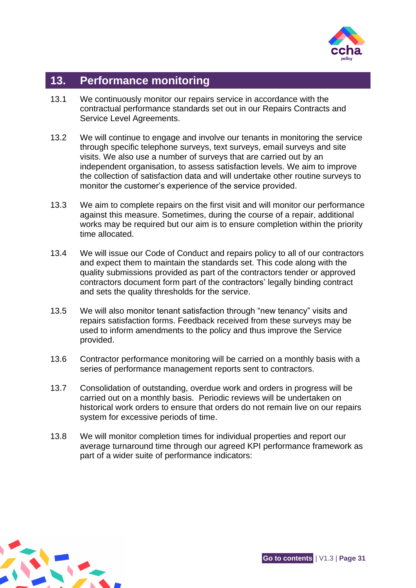

# <span id="page-33-0"></span>**13. Performance monitoring**

- 13.1 We continuously monitor our repairs service in accordance with the contractual performance standards set out in our Repairs Contracts and Service Level Agreements.
- 13.2 We will continue to engage and involve our tenants in monitoring the service through specific telephone surveys, text surveys, email surveys and site visits. We also use a number of surveys that are carried out by an independent organisation, to assess satisfaction levels. We aim to improve the collection of satisfaction data and will undertake other routine surveys to monitor the customer's experience of the service provided.
- 13.3 We aim to complete repairs on the first visit and will monitor our performance against this measure. Sometimes, during the course of a repair, additional works may be required but our aim is to ensure completion within the priority time allocated.
- 13.4 We will issue our Code of Conduct and repairs policy to all of our contractors and expect them to maintain the standards set. This code along with the quality submissions provided as part of the contractors tender or approved contractors document form part of the contractors' legally binding contract and sets the quality thresholds for the service.
- 13.5 We will also monitor tenant satisfaction through "new tenancy" visits and repairs satisfaction forms. Feedback received from these surveys may be used to inform amendments to the policy and thus improve the Service provided.
- 13.6 Contractor performance monitoring will be carried on a monthly basis with a series of performance management reports sent to contractors.
- 13.7 Consolidation of outstanding, overdue work and orders in progress will be carried out on a monthly basis. Periodic reviews will be undertaken on historical work orders to ensure that orders do not remain live on our repairs system for excessive periods of time.
- 13.8 We will monitor completion times for individual properties and report our average turnaround time through our agreed KPI performance framework as part of a wider suite of performance indicators:

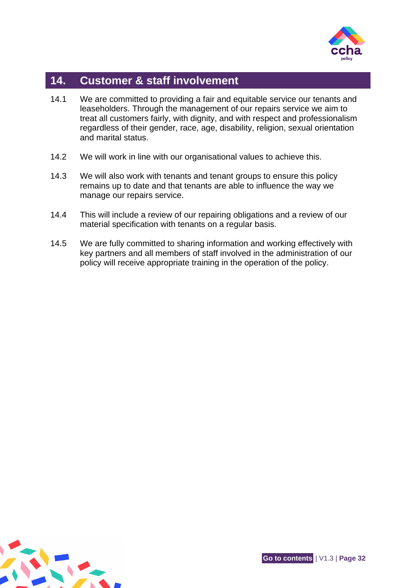

# <span id="page-34-0"></span>**14. Customer & staff involvement**

- 14.1 We are committed to providing a fair and equitable service our tenants and leaseholders. Through the management of our repairs service we aim to treat all customers fairly, with dignity, and with respect and professionalism regardless of their gender, race, age, disability, religion, sexual orientation and marital status.
- 14.2 We will work in line with our organisational values to achieve this.
- 14.3 We will also work with tenants and tenant groups to ensure this policy remains up to date and that tenants are able to influence the way we manage our repairs service.
- 14.4 This will include a review of our repairing obligations and a review of our material specification with tenants on a regular basis.
- 14.5 We are fully committed to sharing information and working effectively with key partners and all members of staff involved in the administration of our policy will receive appropriate training in the operation of the policy.

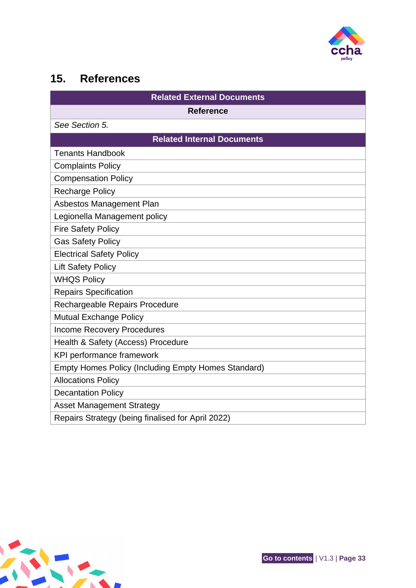

# <span id="page-35-0"></span>**15. References**

| <b>Related External Documents</b>                          |  |  |
|------------------------------------------------------------|--|--|
| <b>Reference</b>                                           |  |  |
| See Section 5.                                             |  |  |
| <b>Related Internal Documents</b>                          |  |  |
| <b>Tenants Handbook</b>                                    |  |  |
| <b>Complaints Policy</b>                                   |  |  |
| <b>Compensation Policy</b>                                 |  |  |
| <b>Recharge Policy</b>                                     |  |  |
| Asbestos Management Plan                                   |  |  |
| Legionella Management policy                               |  |  |
| <b>Fire Safety Policy</b>                                  |  |  |
| <b>Gas Safety Policy</b>                                   |  |  |
| <b>Electrical Safety Policy</b>                            |  |  |
| <b>Lift Safety Policy</b>                                  |  |  |
| <b>WHQS Policy</b>                                         |  |  |
| <b>Repairs Specification</b>                               |  |  |
| Rechargeable Repairs Procedure                             |  |  |
| <b>Mutual Exchange Policy</b>                              |  |  |
| <b>Income Recovery Procedures</b>                          |  |  |
| Health & Safety (Access) Procedure                         |  |  |
| KPI performance framework                                  |  |  |
| <b>Empty Homes Policy (Including Empty Homes Standard)</b> |  |  |
| <b>Allocations Policy</b>                                  |  |  |
| <b>Decantation Policy</b>                                  |  |  |
| <b>Asset Management Strategy</b>                           |  |  |
| Repairs Strategy (being finalised for April 2022)          |  |  |